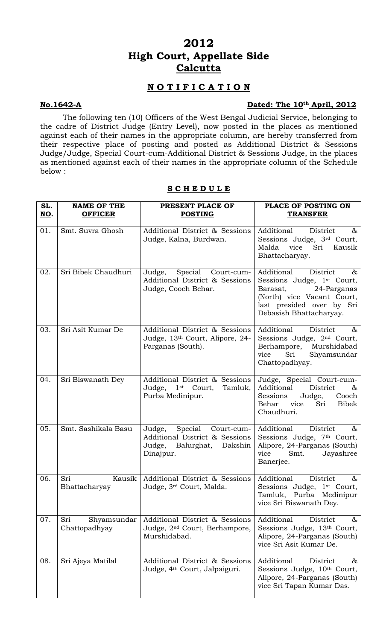# **2012 High Court, Appellate Side Calcutta**

## **N O T I F I C A T I O N**

### **No.1642-A** Dated: The 10<sup>th</sup> April, 2012

The following ten (10) Officers of the West Bengal Judicial Service, belonging to the cadre of District Judge (Entry Level), now posted in the places as mentioned against each of their names in the appropriate column, are hereby transferred from their respective place of posting and posted as Additional District & Sessions Judge/Judge, Special Court-cum-Additional District & Sessions Judge, in the places as mentioned against each of their names in the appropriate column of the Schedule below :

| SL.<br><u>NO</u> . | <b>NAME OF THE</b><br><b>OFFICER</b> | PRESENT PLACE OF<br><b>POSTING</b>                                                                          | PLACE OF POSTING ON<br><b>TRANSFER</b>                                                                                                                                                 |
|--------------------|--------------------------------------|-------------------------------------------------------------------------------------------------------------|----------------------------------------------------------------------------------------------------------------------------------------------------------------------------------------|
| 01.                | Smt. Suvra Ghosh                     | Additional District & Sessions<br>Judge, Kalna, Burdwan.                                                    | Additional<br>District<br>85<br>Sessions Judge, 3rd Court,<br>Sri<br>Malda<br>vice<br>Kausik<br>Bhattacharyay.                                                                         |
| 02.                | Sri Bibek Chaudhuri                  | Judge, Special<br>Court-cum-<br>Additional District & Sessions<br>Judge, Cooch Behar.                       | Additional<br>District<br>&<br>Sessions Judge, 1 <sup>st</sup> Court,<br>Barasat,<br>24-Parganas<br>(North) vice Vacant Court,<br>last presided over by Sri<br>Debasish Bhattacharyay. |
| 03.                | Sri Asit Kumar De                    | Additional District & Sessions<br>Judge, 13th Court, Alipore, 24-<br>Parganas (South).                      | Additional<br>District<br>&<br>Sessions Judge, 2 <sup>nd</sup> Court,<br>Berhampore, Murshidabad<br>Shyamsundar<br>Sri<br>vice<br>Chattopadhyay.                                       |
| 04.                | Sri Biswanath Dey                    | Additional District & Sessions<br>Judge,<br>1 <sup>st</sup> Court,<br>Tamluk,<br>Purba Medinipur.           | Judge, Special Court-cum-<br>Additional<br>District<br>&<br>Sessions<br>Judge,<br>Cooch<br>Behar<br>vice<br>Sri<br>Bibek<br>Chaudhuri.                                                 |
| 05.                | Smt. Sashikala Basu                  | Special<br>Judge,<br>Court-cum-<br>Additional District & Sessions<br>Judge, Balurghat, Dakshin<br>Dinajpur. | Additional<br>District<br>$\&$<br>Sessions Judge, 7th Court,<br>Alipore, 24-Parganas (South)<br>vice<br>Smt.<br>Jayashree<br>Banerjee.                                                 |
| 06.                | Sri<br>Kausik<br>Bhattacharyay       | Additional District & Sessions<br>Judge, 3rd Court, Malda.                                                  | Additional<br>District<br>&<br>Sessions Judge, 1 <sup>st</sup> Court,<br>Tamluk, Purba Medinipur<br>vice Sri Biswanath Dey.                                                            |
| 07.                | Sri<br>Shyamsundar<br>Chattopadhyay  | Additional District & Sessions<br>Judge, 2 <sup>nd</sup> Court, Berhampore,<br>Murshidabad.                 | Additional<br>District<br>&<br>Sessions Judge, 13th Court,<br>Alipore, 24-Parganas (South)<br>vice Sri Asit Kumar De.                                                                  |
| 08.                | Sri Ajeya Matilal                    | Additional District & Sessions<br>Judge, 4 <sup>th</sup> Court, Jalpaiguri.                                 | Additional<br>District<br>&<br>Sessions Judge, 10th Court,<br>Alipore, 24-Parganas (South)<br>vice Sri Tapan Kumar Das.                                                                |

#### **S C H E D U L E**